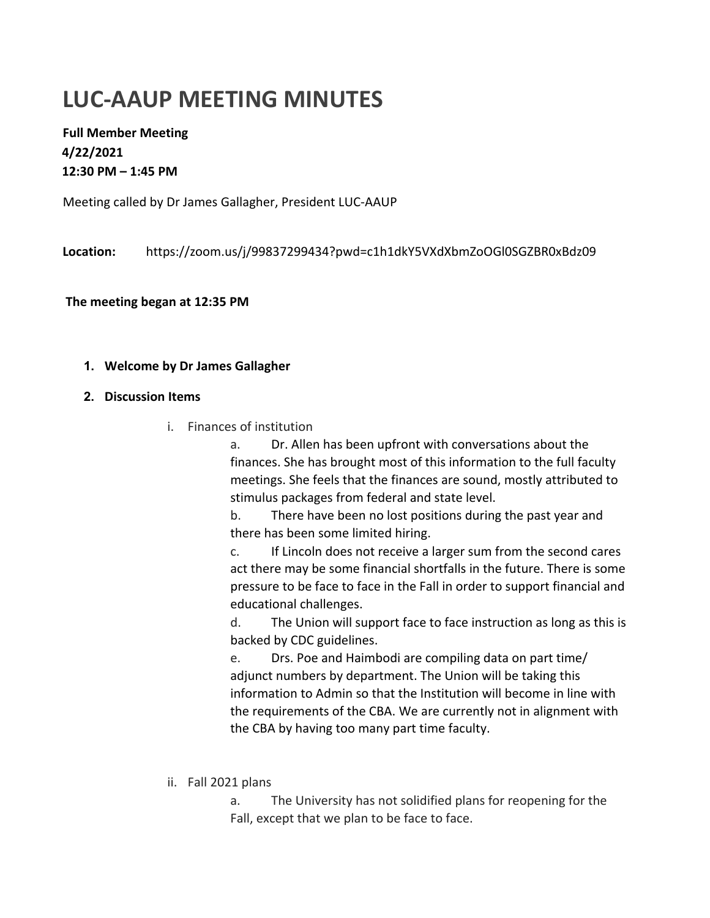## **LUC-AAUP MEETING MINUTES**

**Full Member Meeting 4/22/2021 12:30 PM – 1:45 PM** 

Meeting called by Dr James Gallagher, President LUC-AAUP

**Location:** https://zoom.us/j/99837299434?pwd=c1h1dkY5VXdXbmZoOGl0SGZBR0xBdz09

**The meeting began at 12:35 PM**

## **1. Welcome by Dr James Gallagher**

- **2. Discussion Items** 
	- i. Finances of institution

a. Dr. Allen has been upfront with conversations about the finances. She has brought most of this information to the full faculty meetings. She feels that the finances are sound, mostly attributed to stimulus packages from federal and state level.

b. There have been no lost positions during the past year and there has been some limited hiring.

c. If Lincoln does not receive a larger sum from the second cares act there may be some financial shortfalls in the future. There is some pressure to be face to face in the Fall in order to support financial and educational challenges.

d. The Union will support face to face instruction as long as this is backed by CDC guidelines.

e. Drs. Poe and Haimbodi are compiling data on part time/ adjunct numbers by department. The Union will be taking this information to Admin so that the Institution will become in line with the requirements of the CBA. We are currently not in alignment with the CBA by having too many part time faculty.

ii. Fall 2021 plans

a. The University has not solidified plans for reopening for the Fall, except that we plan to be face to face.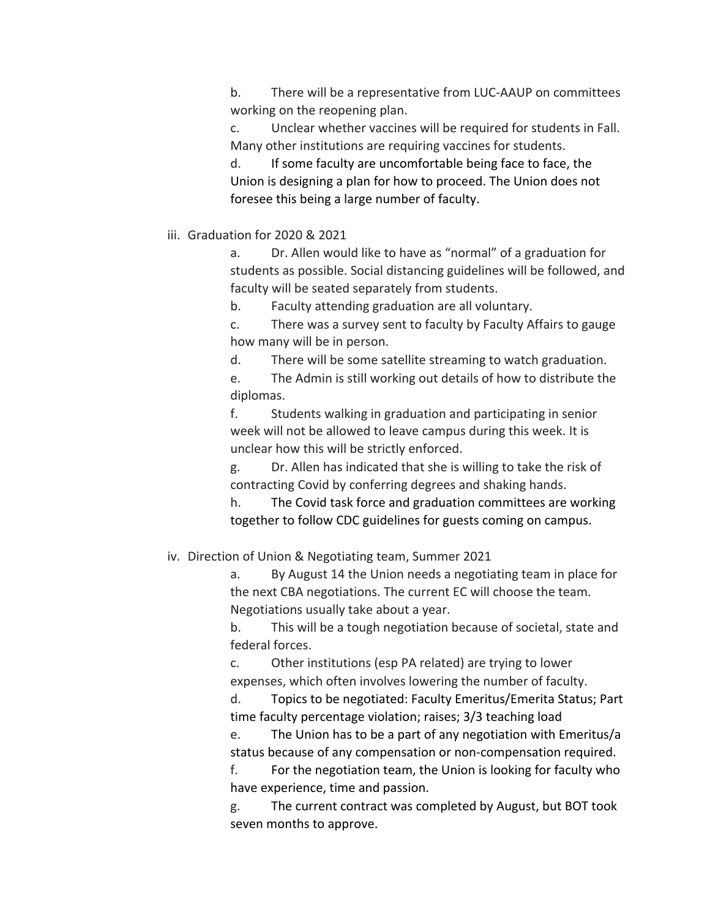b. There will be a representative from LUC-AAUP on committees working on the reopening plan.

c. Unclear whether vaccines will be required for students in Fall. Many other institutions are requiring vaccines for students.

d. If some faculty are uncomfortable being face to face, the Union is designing a plan for how to proceed. The Union does not foresee this being a large number of faculty.

iii. Graduation for 2020 & 2021

a. Dr. Allen would like to have as "normal" of a graduation for students as possible. Social distancing guidelines will be followed, and faculty will be seated separately from students.

b. Faculty attending graduation are all voluntary.

c. There was a survey sent to faculty by Faculty Affairs to gauge how many will be in person.

d. There will be some satellite streaming to watch graduation.

e. The Admin is still working out details of how to distribute the diplomas.

f. Students walking in graduation and participating in senior week will not be allowed to leave campus during this week. It is unclear how this will be strictly enforced.

g. Dr. Allen has indicated that she is willing to take the risk of contracting Covid by conferring degrees and shaking hands.

h. The Covid task force and graduation committees are working together to follow CDC guidelines for guests coming on campus.

iv. Direction of Union & Negotiating team, Summer 2021

a. By August 14 the Union needs a negotiating team in place for the next CBA negotiations. The current EC will choose the team. Negotiations usually take about a year.

b. This will be a tough negotiation because of societal, state and federal forces.

c. Other institutions (esp PA related) are trying to lower expenses, which often involves lowering the number of faculty.

d. Topics to be negotiated: Faculty Emeritus/Emerita Status; Part time faculty percentage violation; raises; 3/3 teaching load

e. The Union has to be a part of any negotiation with Emeritus/a status because of any compensation or non-compensation required.

f. For the negotiation team, the Union is looking for faculty who have experience, time and passion.

g. The current contract was completed by August, but BOT took seven months to approve.